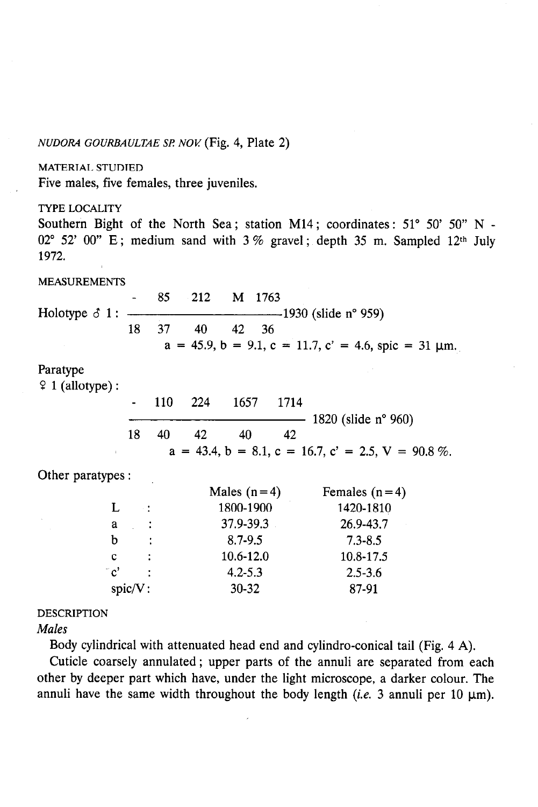#### NUDORA GOURBAULTAE SP. NOV. (Fig. 4, Plate 2)

#### MATERIAL STUDIED

Five males, five females, three juveniles.

#### TYPE LOCALITY

Southern Bight of the North Sea; station M14; coordinates:  $51^{\circ}$  50'  $50^{\circ}$  N -02° 52' 00" E; medium sand with  $3\%$  gravel; depth 35 m. Sampled 12th July 1972.

#### MEASUREMENTS

- 85 212 M 1763 Holotype  $\delta$  1:  $\frac{1}{2}$  1930 (slide n° 959) 18 37 40 42 36  $a = 45.9$ ,  $b = 9.1$ ,  $c = 11.7$ ,  $c' = 4.6$ , spic = 31 um. Paratype  $9$  1 (allotype) : - 110 224 1657 1714 - 1820 (slide n° 960) 18 40 42 40 42  $a = 43.4, b = 8.1, c = 16.7, c' = 2.5, V = 90.8\%$ . Other paratypes : Males  $(n=4)$  Females  $(n=4)$ L :  $1800-1900$   $1420-1810$  $\mathbf{a}$  $\ddot{\cdot}$ 37.9-39.3 26.9-43.7  $b : 8.7-9.5 7.3-8.5$ 

c : 10.6-12.0 10.8-17.5

 $c'$  : 4.2-5.3 2.5-3.6 spic/V: 30-32 87-91

#### DESCRIPTION

Males

Body cylindrical with attenuated head end and cylindro-conical tail (Fig. 4 A).

Cuticle coarsely annulated ; upper parts of the annuli are separated from each other by deeper part which have, under the light microscope, a darker colour. The annuli have the same width throughout the body length (*i.e.* 3 annuli per 10  $\mu$ m).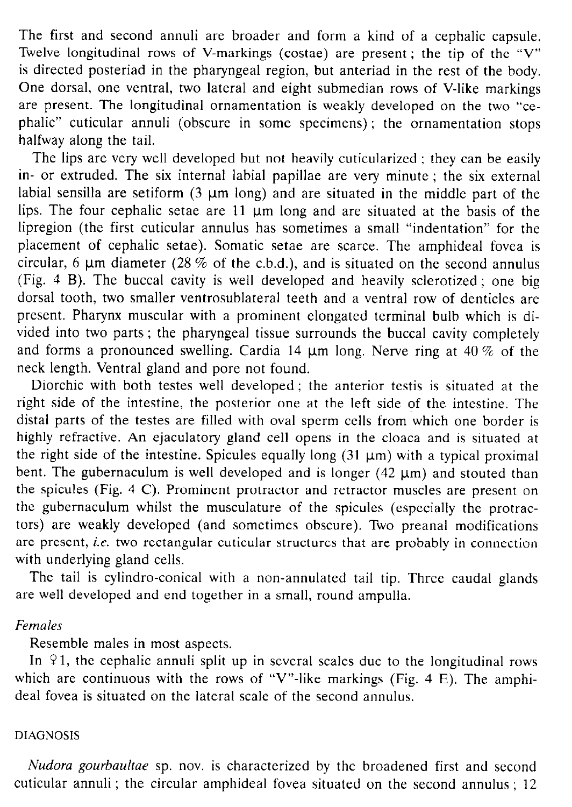The first and second annuli are broader and form a kind of a cephalic capsule. Twelve longitudinal rows of V-markings (costae) are present ; the tip of the "V" is directed posteriad in the pharyngeal region, but anteriad in the rest of the body. One dorsal, one ventral, two lateral and eight submedian rows of V-like markings are present. The longitudinal ornamentation is weakly developed on the two "cephalic" cuticular annuli (obscure in some specimens) ; the ornamentation stops halfway along the tail.

The lips are very well developed but not heavily cuticularized ; they can be easily in- or extruded. The six internal labial papillae are very minute ; the six external labial sensilla are setiform  $(3 \mu m \text{ long})$  and are situated in the middle part of the lips. The four cephalic setae are  $11 \mu m$  long and are situated at the basis of the lipregion (the first cuticular annulus has sometimes a small "indentation" for the placement of cephalic setae). Somatic setae are scarce. The amphideal fovea is circular, 6  $\mu$ m diameter (28 % of the c.b.d.), and is situated on the second annulus (Fig. 4 B). The buccal cavity is well developed and heavily sclerotized ; one big dorsal tooth, two smaller ventrosublateral teeth and a ventral row of denticles are present. Pharynx muscular with a prominent elongated terminal bulb which is divided into two parts ; the pharyngeal tissue surrounds the buccal cavity completely and forms a pronounced swelling. Cardia 14  $\mu$ m long. Nerve ring at 40 % of the neck length. Ventral gland and pore not found.

Diorchic with both testes well developed ; the anterior testis is situated at the right side of the intestine, the posterior one at the left side of the intestine. The distal parts of the testes are filled with oval sperm cells from 'which one border is highly refractive. An ejaculatory gland cell opens in the cloaca and is situated at the right side of the intestine. Spicules equally long  $(31 \mu m)$  with a typical proximal bent. The gubernaculum is well developed and is longer  $(42 \mu m)$  and stouted than the spicules (Fig. 4 C). Prominent protractor and retractor muscles are present on the gubernaculum whilst the musculature of the spicules (especially the protractors) are weakly developed (and sometimes obscure). Two preanal modifications are present, *i.e.* two rectangular cuticular structures that are probably in connection with underlying gland cells.

The tail is cylindro-conical with a non-annulated tail tip. Three caudal glands are well developed and end together in a small, round ampulla.

## Females

Resemble males in most aspects.

In  $91$ , the cephalic annuli split up in several scales due to the longitudinal rows which are continuous with the rows of "V"-like markings (Fig. 4 E). The amphideal fovea is situated on the lateral scale of the second annulus.

### DIAGNOSIS

Nudora gourbaultae sp. nov. is characterized by the broadened first and second cuticular annuli ; the circular amphideal fovea situated on the second annulus ; 12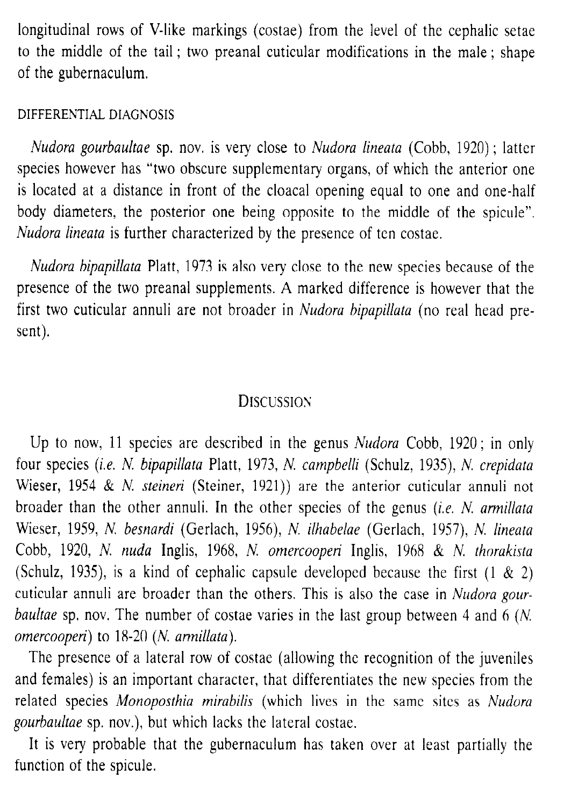longitudinal rows of V-like markings (costae) from the level of the cephalic setae to the middle of the tail ; two preanal cuticular modifications in the male ; shape of the gubernaculum.

## DIFFERENTIAL DIAGNOSIS

Nudora gourbaultae sp. nov. is very close to Nudora lineata (Cobb, 1920) ; latter species however has "two obscure supplementary organs, of which the anterior one is located at a distance in front of the cloacal opening equal to one and one-half body diameters, the posterior one being opposite to the middle of the spicule". Nudora lineata is further characterized by the presence of ten costae.

Nudora bipapillata Platt, 1973 is also very close to the new species because of the presence of the two preanal supplements. A marked difference is however that the first two cuticular annuli are not broader in Nudora bipapillata (no real head present).

# DISCUSSION

Up to now, 11 species are described in the genus Nudora Cobb, 1920; in only four species (i.e. N. bipapillata Platt, 1973, N. campbelli (Schulz, 1935), N. crepidata Wieser, 1954 & N. steineri (Steiner, 1921)) are the anterior cuticular annuli not broader than the other annuli. In the other species of the genus (i.e. N. armillata Wieser, 1959, N. besnardi (Gerlach, 1956), N. ilhabelae (Gerlach, 1957), N. lineata Cobb, 1920, N. nudu Inglis, 1968, N. omercooperi Inglis, 1968 & N. thorakista (Schulz, 1935), is a kind of cephalic capsule developed because the first  $(1 \& 2)$ cuticular annuli are broader than the others. This is also the case in Nudora gourbaultae sp. nov. The number of costae varies in the last group between 4 and 6 (N. omercooperi) to 18-20 (N. armillata).

The presence of a lateral row of costae (allowing the recognition of the juveniles and females) is an important character, that differentiates the new species from the related species Monoposthia mirabilis (which lives in the same sites as Nudora gourbaultae sp. nov.), but which lacks the lateral costae.

It is very probable that the gubernaculum has taken over at least partially the function of the spicule.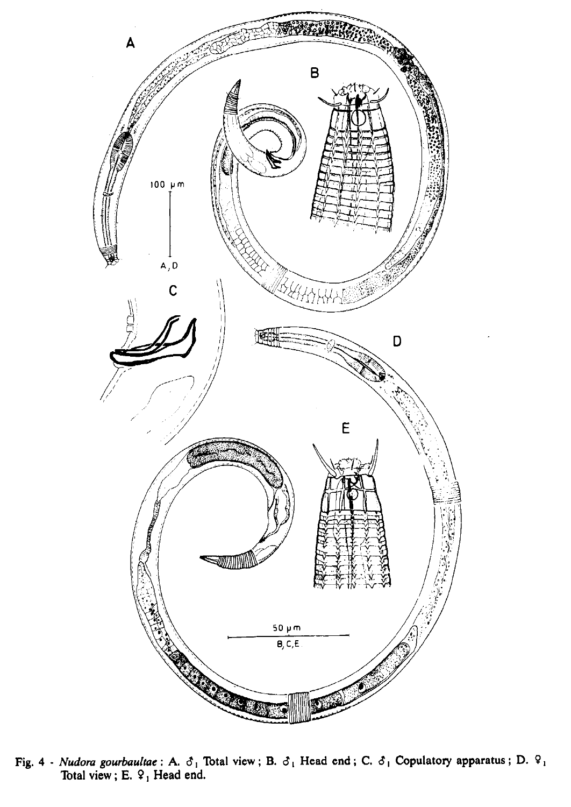

Fig. 4 - Nudora gourbaultae : A.  $\delta_1$  Total view ; B.  $\delta_1$  Head end ; C.  $\delta_1$  Copulatory apparatus ; D.  $9_1$ Total view;  $E. 9$ , Head end.